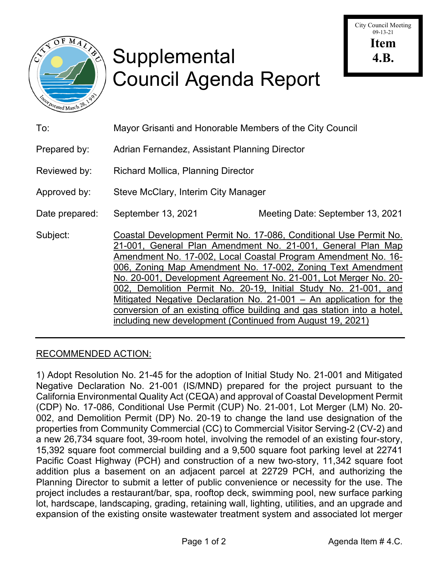

# Supplemental Council Agenda Report

| To:            | Mayor Grisanti and Honorable Members of the City Council                                                                                                                                                                                                                                                                                                                                                                                                                                                                                                                                                               |                                  |
|----------------|------------------------------------------------------------------------------------------------------------------------------------------------------------------------------------------------------------------------------------------------------------------------------------------------------------------------------------------------------------------------------------------------------------------------------------------------------------------------------------------------------------------------------------------------------------------------------------------------------------------------|----------------------------------|
| Prepared by:   | Adrian Fernandez, Assistant Planning Director                                                                                                                                                                                                                                                                                                                                                                                                                                                                                                                                                                          |                                  |
| Reviewed by:   | <b>Richard Mollica, Planning Director</b>                                                                                                                                                                                                                                                                                                                                                                                                                                                                                                                                                                              |                                  |
| Approved by:   | Steve McClary, Interim City Manager                                                                                                                                                                                                                                                                                                                                                                                                                                                                                                                                                                                    |                                  |
| Date prepared: | September 13, 2021                                                                                                                                                                                                                                                                                                                                                                                                                                                                                                                                                                                                     | Meeting Date: September 13, 2021 |
| Subject:       | Coastal Development Permit No. 17-086, Conditional Use Permit No.<br>21-001, General Plan Amendment No. 21-001, General Plan Map<br>Amendment No. 17-002, Local Coastal Program Amendment No. 16-<br>006, Zoning Map Amendment No. 17-002, Zoning Text Amendment<br>No. 20-001, Development Agreement No. 21-001, Lot Merger No. 20-<br>002, Demolition Permit No. 20-19, Initial Study No. 21-001, and<br>Mitigated Negative Declaration No. 21-001 - An application for the<br>conversion of an existing office building and gas station into a hotel,<br>including new development (Continued from August 19, 2021) |                                  |

# RECOMMENDED ACTION:

1) Adopt Resolution No. 21-45 for the adoption of Initial Study No. 21-001 and Mitigated Negative Declaration No. 21-001 (IS/MND) prepared for the project pursuant to the California Environmental Quality Act (CEQA) and approval of Coastal Development Permit (CDP) No. 17-086, Conditional Use Permit (CUP) No. 21-001, Lot Merger (LM) No. 20- 002, and Demolition Permit (DP) No. 20-19 to change the land use designation of the properties from Community Commercial (CC) to Commercial Visitor Serving-2 (CV-2) and a new 26,734 square foot, 39-room hotel, involving the remodel of an existing four-story, 15,392 square foot commercial building and a 9,500 square foot parking level at 22741 Pacific Coast Highway (PCH) and construction of a new two-story, 11,342 square foot addition plus a basement on an adjacent parcel at 22729 PCH, and authorizing the Planning Director to submit a letter of public convenience or necessity for the use. The project includes a restaurant/bar, spa, rooftop deck, swimming pool, new surface parking lot, hardscape, landscaping, grading, retaining wall, lighting, utilities, and an upgrade and expansion of the existing onsite wastewater treatment system and associated lot merger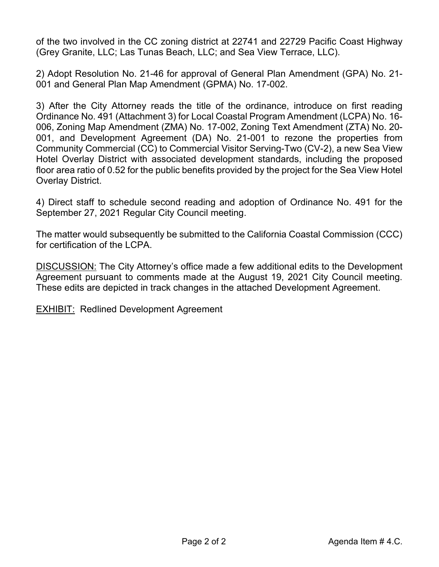of the two involved in the CC zoning district at 22741 and 22729 Pacific Coast Highway (Grey Granite, LLC; Las Tunas Beach, LLC; and Sea View Terrace, LLC).

2) Adopt Resolution No. 21-46 for approval of General Plan Amendment (GPA) No. 21- 001 and General Plan Map Amendment (GPMA) No. 17-002.

3) After the City Attorney reads the title of the ordinance, introduce on first reading Ordinance No. 491 (Attachment 3) for Local Coastal Program Amendment (LCPA) No. 16- 006, Zoning Map Amendment (ZMA) No. 17-002, Zoning Text Amendment (ZTA) No. 20- 001, and Development Agreement (DA) No. 21-001 to rezone the properties from Community Commercial (CC) to Commercial Visitor Serving-Two (CV-2), a new Sea View Hotel Overlay District with associated development standards, including the proposed floor area ratio of 0.52 for the public benefits provided by the project for the Sea View Hotel Overlay District.

4) Direct staff to schedule second reading and adoption of Ordinance No. 491 for the September 27, 2021 Regular City Council meeting.

The matter would subsequently be submitted to the California Coastal Commission (CCC) for certification of the LCPA.

DISCUSSION: The City Attorney's office made a few additional edits to the Development Agreement pursuant to comments made at the August 19, 2021 City Council meeting. These edits are depicted in track changes in the attached Development Agreement.

EXHIBIT: Redlined Development Agreement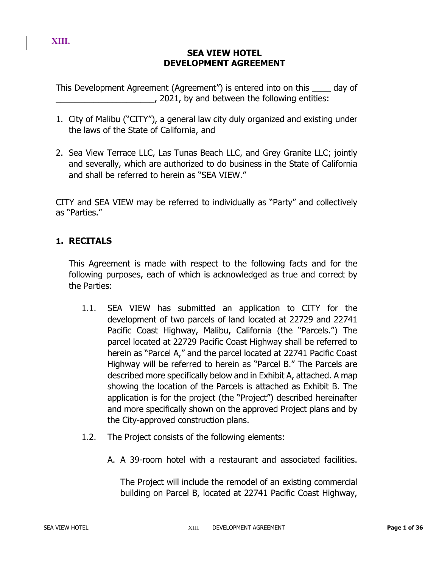#### **XIII.**

# **SEA VIEW HOTEL DEVELOPMENT AGREEMENT**

This Development Agreement (Agreement") is entered into on this \_\_\_\_ day of  $\Box$ , 2021, by and between the following entities:

- 1. City of Malibu ("CITY"), a general law city duly organized and existing under the laws of the State of California, and
- 2. Sea View Terrace LLC, Las Tunas Beach LLC, and Grey Granite LLC; jointly and severally, which are authorized to do business in the State of California and shall be referred to herein as "SEA VIEW."

CITY and SEA VIEW may be referred to individually as "Party" and collectively as "Parties."

# **1. RECITALS**

This Agreement is made with respect to the following facts and for the following purposes, each of which is acknowledged as true and correct by the Parties:

- 1.1. SEA VIEW has submitted an application to CITY for the development of two parcels of land located at 22729 and 22741 Pacific Coast Highway, Malibu, California (the "Parcels.") The parcel located at 22729 Pacific Coast Highway shall be referred to herein as "Parcel A," and the parcel located at 22741 Pacific Coast Highway will be referred to herein as "Parcel B." The Parcels are described more specifically below and in Exhibit A, attached. A map showing the location of the Parcels is attached as Exhibit B. The application is for the project (the "Project") described hereinafter and more specifically shown on the approved Project plans and by the City-approved construction plans.
- 1.2. The Project consists of the following elements:
	- A. A 39-room hotel with a restaurant and associated facilities.

The Project will include the remodel of an existing commercial building on Parcel B, located at 22741 Pacific Coast Highway,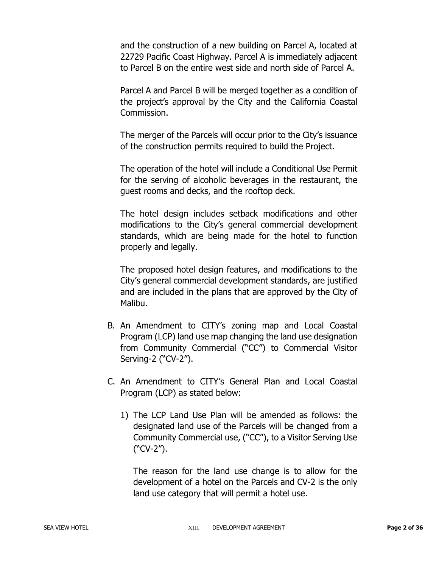and the construction of a new building on Parcel A, located at 22729 Pacific Coast Highway. Parcel A is immediately adjacent to Parcel B on the entire west side and north side of Parcel A.

Parcel A and Parcel B will be merged together as a condition of the project's approval by the City and the California Coastal Commission.

The merger of the Parcels will occur prior to the City's issuance of the construction permits required to build the Project.

The operation of the hotel will include a Conditional Use Permit for the serving of alcoholic beverages in the restaurant, the guest rooms and decks, and the rooftop deck.

The hotel design includes setback modifications and other modifications to the City's general commercial development standards, which are being made for the hotel to function properly and legally.

The proposed hotel design features, and modifications to the City's general commercial development standards, are justified and are included in the plans that are approved by the City of Malibu.

- B. An Amendment to CITY's zoning map and Local Coastal Program (LCP) land use map changing the land use designation from Community Commercial ("CC") to Commercial Visitor Serving-2 ("CV-2").
- C. An Amendment to CITY's General Plan and Local Coastal Program (LCP) as stated below:
	- 1) The LCP Land Use Plan will be amended as follows: the designated land use of the Parcels will be changed from a Community Commercial use, ("CC"), to a Visitor Serving Use ("CV-2").

The reason for the land use change is to allow for the development of a hotel on the Parcels and CV-2 is the only land use category that will permit a hotel use.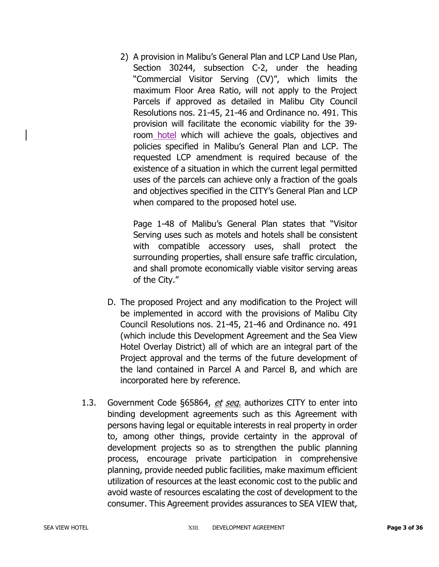2) A provision in Malibu's General Plan and LCP Land Use Plan, Section 30244, subsection C-2, under the heading "Commercial Visitor Serving (CV)", which limits the maximum Floor Area Ratio, will not apply to the Project Parcels if approved as detailed in Malibu City Council Resolutions nos. 21-45, 21-46 and Ordinance no. 491. This provision will facilitate the economic viability for the 39 room hotel which will achieve the goals, objectives and policies specified in Malibu's General Plan and LCP. The requested LCP amendment is required because of the existence of a situation in which the current legal permitted uses of the parcels can achieve only a fraction of the goals and objectives specified in the CITY's General Plan and LCP when compared to the proposed hotel use.

Page 1-48 of Malibu's General Plan states that "Visitor Serving uses such as motels and hotels shall be consistent with compatible accessory uses, shall protect the surrounding properties, shall ensure safe traffic circulation, and shall promote economically viable visitor serving areas of the City."

- D. The proposed Project and any modification to the Project will be implemented in accord with the provisions of Malibu City Council Resolutions nos. 21-45, 21-46 and Ordinance no. 491 (which include this Development Agreement and the Sea View Hotel Overlay District) all of which are an integral part of the Project approval and the terms of the future development of the land contained in Parcel A and Parcel B, and which are incorporated here by reference.
- 1.3. Government Code §65864, et seq. authorizes CITY to enter into binding development agreements such as this Agreement with persons having legal or equitable interests in real property in order to, among other things, provide certainty in the approval of development projects so as to strengthen the public planning process, encourage private participation in comprehensive planning, provide needed public facilities, make maximum efficient utilization of resources at the least economic cost to the public and avoid waste of resources escalating the cost of development to the consumer. This Agreement provides assurances to SEA VIEW that,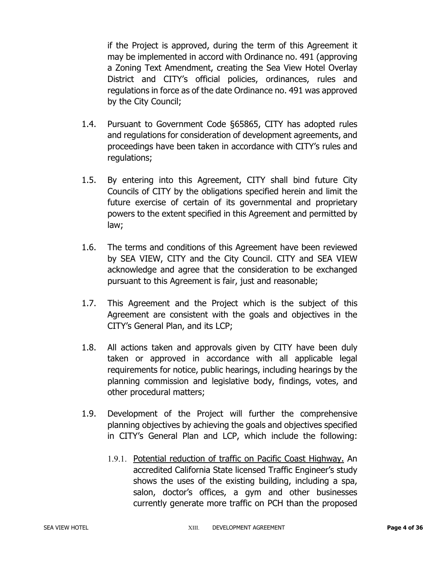if the Project is approved, during the term of this Agreement it may be implemented in accord with Ordinance no. 491 (approving a Zoning Text Amendment, creating the Sea View Hotel Overlay District and CITY's official policies, ordinances, rules and regulations in force as of the date Ordinance no. 491 was approved by the City Council;

- 1.4. Pursuant to Government Code §65865, CITY has adopted rules and regulations for consideration of development agreements, and proceedings have been taken in accordance with CITY's rules and regulations;
- 1.5. By entering into this Agreement, CITY shall bind future City Councils of CITY by the obligations specified herein and limit the future exercise of certain of its governmental and proprietary powers to the extent specified in this Agreement and permitted by law;
- 1.6. The terms and conditions of this Agreement have been reviewed by SEA VIEW, CITY and the City Council. CITY and SEA VIEW acknowledge and agree that the consideration to be exchanged pursuant to this Agreement is fair, just and reasonable;
- 1.7. This Agreement and the Project which is the subject of this Agreement are consistent with the goals and objectives in the CITY's General Plan, and its LCP;
- 1.8. All actions taken and approvals given by CITY have been duly taken or approved in accordance with all applicable legal requirements for notice, public hearings, including hearings by the planning commission and legislative body, findings, votes, and other procedural matters;
- 1.9. Development of the Project will further the comprehensive planning objectives by achieving the goals and objectives specified in CITY's General Plan and LCP, which include the following:
	- 1.9.1. Potential reduction of traffic on Pacific Coast Highway. An accredited California State licensed Traffic Engineer's study shows the uses of the existing building, including a spa, salon, doctor's offices, a gym and other businesses currently generate more traffic on PCH than the proposed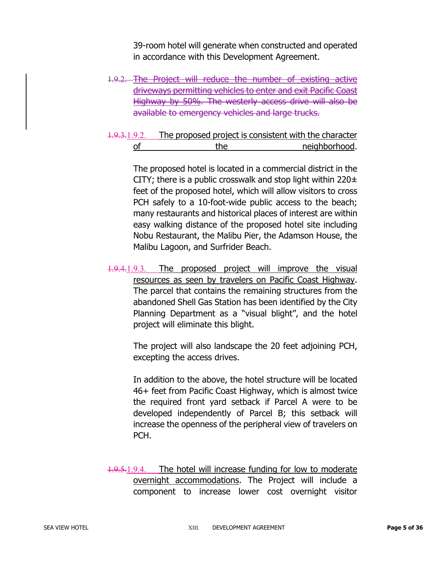39-room hotel will generate when constructed and operated in accordance with this Development Agreement.

- 1.9.2. The Project will reduce the number of existing active driveways permitting vehicles to enter and exit Pacific Coast Highway by 50%. The westerly access drive will also be available to emergency vehicles and large trucks.
- 1.9.3.1.9.2. The proposed project is consistent with the character of the the neighborhood.

The proposed hotel is located in a commercial district in the CITY; there is a public crosswalk and stop light within  $220 \pm$ feet of the proposed hotel, which will allow visitors to cross PCH safely to a 10-foot-wide public access to the beach; many restaurants and historical places of interest are within easy walking distance of the proposed hotel site including Nobu Restaurant, the Malibu Pier, the Adamson House, the Malibu Lagoon, and Surfrider Beach.

1.9.4.1.9.3. The proposed project will improve the visual resources as seen by travelers on Pacific Coast Highway. The parcel that contains the remaining structures from the abandoned Shell Gas Station has been identified by the City Planning Department as a "visual blight", and the hotel project will eliminate this blight.

> The project will also landscape the 20 feet adjoining PCH, excepting the access drives.

> In addition to the above, the hotel structure will be located 46+ feet from Pacific Coast Highway, which is almost twice the required front yard setback if Parcel A were to be developed independently of Parcel B; this setback will increase the openness of the peripheral view of travelers on PCH.

1.9.5.1.9.4. The hotel will increase funding for low to moderate overnight accommodations. The Project will include a component to increase lower cost overnight visitor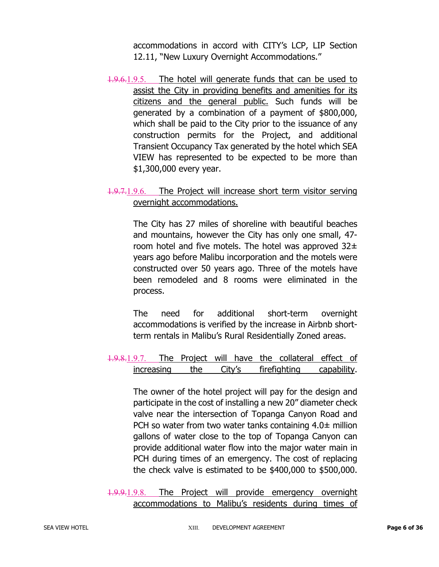accommodations in accord with CITY's LCP, LIP Section 12.11, "New Luxury Overnight Accommodations."

1.9.6.1.9.5. The hotel will generate funds that can be used to assist the City in providing benefits and amenities for its citizens and the general public. Such funds will be generated by a combination of a payment of \$800,000, which shall be paid to the City prior to the issuance of any construction permits for the Project, and additional Transient Occupancy Tax generated by the hotel which SEA VIEW has represented to be expected to be more than \$1,300,000 every year.

# 1.9.7.1.9.6. The Project will increase short term visitor serving overnight accommodations.

The City has 27 miles of shoreline with beautiful beaches and mountains, however the City has only one small, 47 room hotel and five motels. The hotel was approved  $32\pm$ years ago before Malibu incorporation and the motels were constructed over 50 years ago. Three of the motels have been remodeled and 8 rooms were eliminated in the process.

The need for additional short-term overnight accommodations is verified by the increase in Airbnb shortterm rentals in Malibu's Rural Residentially Zoned areas.

# 1.9.8.1.9.7. The Project will have the collateral effect of increasing the City's firefighting capability.

The owner of the hotel project will pay for the design and participate in the cost of installing a new 20" diameter check valve near the intersection of Topanga Canyon Road and PCH so water from two water tanks containing  $4.0\pm$  million gallons of water close to the top of Topanga Canyon can provide additional water flow into the major water main in PCH during times of an emergency. The cost of replacing the check valve is estimated to be \$400,000 to \$500,000.

1.9.9.1.9.8. The Project will provide emergency overnight accommodations to Malibu's residents during times of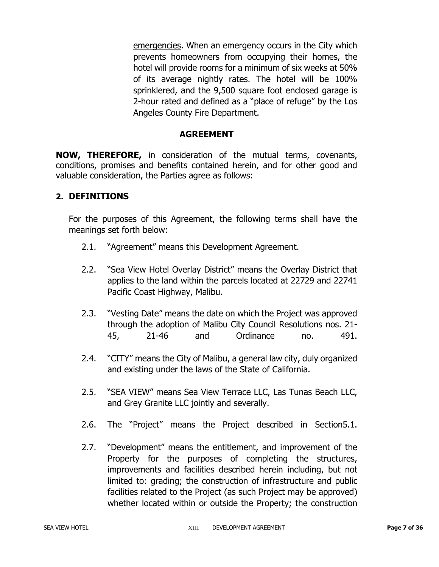emergencies. When an emergency occurs in the City which prevents homeowners from occupying their homes, the hotel will provide rooms for a minimum of six weeks at 50% of its average nightly rates. The hotel will be 100% sprinklered, and the 9,500 square foot enclosed garage is 2-hour rated and defined as a "place of refuge" by the Los Angeles County Fire Department.

#### **AGREEMENT**

**NOW, THEREFORE,** in consideration of the mutual terms, covenants, conditions, promises and benefits contained herein, and for other good and valuable consideration, the Parties agree as follows:

#### **2. DEFINITIONS**

For the purposes of this Agreement, the following terms shall have the meanings set forth below:

- 2.1. "Agreement" means this Development Agreement.
- 2.2. "Sea View Hotel Overlay District" means the Overlay District that applies to the land within the parcels located at 22729 and 22741 Pacific Coast Highway, Malibu.
- 2.3. "Vesting Date" means the date on which the Project was approved through the adoption of Malibu City Council Resolutions nos. 21- 45, 21-46 and Ordinance no. 491.
- 2.4. "CITY" means the City of Malibu, a general law city, duly organized and existing under the laws of the State of California.
- 2.5. "SEA VIEW" means Sea View Terrace LLC, Las Tunas Beach LLC, and Grey Granite LLC jointly and severally.
- 2.6. The "Project" means the Project described in Section5.1.
- 2.7. "Development" means the entitlement, and improvement of the Property for the purposes of completing the structures, improvements and facilities described herein including, but not limited to: grading; the construction of infrastructure and public facilities related to the Project (as such Project may be approved) whether located within or outside the Property; the construction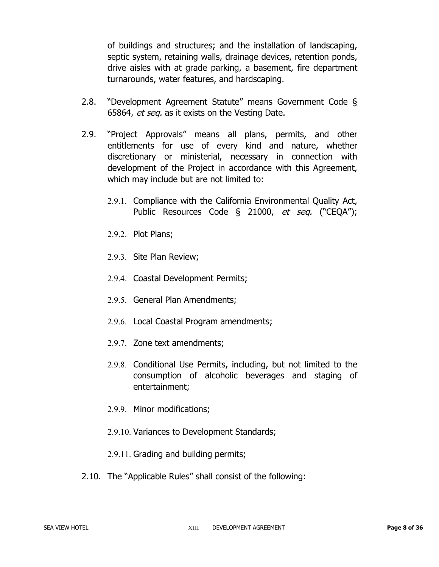of buildings and structures; and the installation of landscaping, septic system, retaining walls, drainage devices, retention ponds, drive aisles with at grade parking, a basement, fire department turnarounds, water features, and hardscaping.

- 2.8. "Development Agreement Statute" means Government Code § 65864, et seq. as it exists on the Vesting Date.
- 2.9. "Project Approvals" means all plans, permits, and other entitlements for use of every kind and nature, whether discretionary or ministerial, necessary in connection with development of the Project in accordance with this Agreement, which may include but are not limited to:
	- 2.9.1. Compliance with the California Environmental Quality Act, Public Resources Code § 21000, et seq. ("CEQA");
	- 2.9.2. Plot Plans;
	- 2.9.3. Site Plan Review;
	- 2.9.4. Coastal Development Permits;
	- 2.9.5. General Plan Amendments;
	- 2.9.6. Local Coastal Program amendments;
	- 2.9.7. Zone text amendments;
	- 2.9.8. Conditional Use Permits, including, but not limited to the consumption of alcoholic beverages and staging of entertainment;
	- 2.9.9. Minor modifications;
	- 2.9.10. Variances to Development Standards;
	- 2.9.11. Grading and building permits;
- 2.10. The "Applicable Rules" shall consist of the following: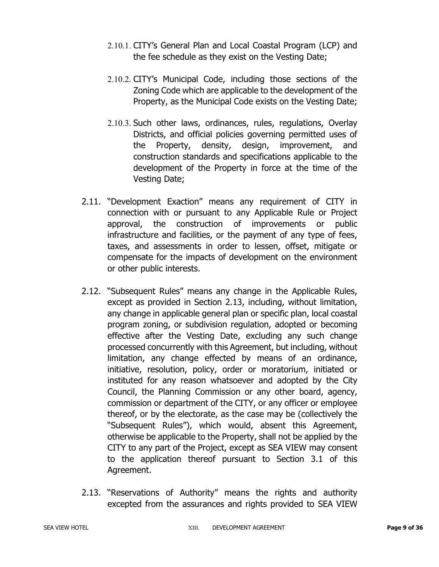- 2.10.1. CITY's General Plan and Local Coastal Program (LCP) and the fee schedule as they exist on the Vesting Date;
- 2.10.2. CITY's Municipal Code, including those sections of the Zoning Code which are applicable to the development of the Property, as the Municipal Code exists on the Vesting Date;
- 2.10.3. Such other laws, ordinances, rules, regulations, Overlay Districts, and official policies governing permitted uses of the Property, density, design, improvement, and construction standards and specifications applicable to the development of the Property in force at the time of the Vesting Date;
- 2.11. "Development Exaction" means any requirement of CITY in connection with or pursuant to any Applicable Rule or Project approval, the construction of improvements or public infrastructure and facilities, or the payment of any type of fees, taxes, and assessments in order to lessen, offset, mitigate or compensate for the impacts of development on the environment or other public interests.
- 2.12. "Subsequent Rules" means any change in the Applicable Rules, except as provided in Section 2.13, including, without limitation, any change in applicable general plan or specific plan, local coastal program zoning, or subdivision regulation, adopted or becoming effective after the Vesting Date, excluding any such change processed concurrently with this Agreement, but including, without limitation, any change effected by means of an ordinance, initiative, resolution, policy, order or moratorium, initiated or instituted for any reason whatsoever and adopted by the City Council, the Planning Commission or any other board, agency, commission or department of the CITY, or any officer or employee thereof, or by the electorate, as the case may be (collectively the "Subsequent Rules"), which would, absent this Agreement, otherwise be applicable to the Property, shall not be applied by the CITY to any part of the Project, except as SEA VIEW may consent to the application thereof pursuant to Section 3.1 of this Agreement.
- 2.13. "Reservations of Authority" means the rights and authority excepted from the assurances and rights provided to SEA VIEW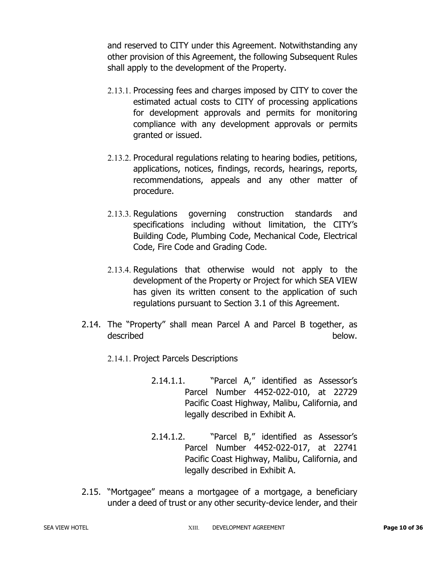and reserved to CITY under this Agreement. Notwithstanding any other provision of this Agreement, the following Subsequent Rules shall apply to the development of the Property.

- 2.13.1. Processing fees and charges imposed by CITY to cover the estimated actual costs to CITY of processing applications for development approvals and permits for monitoring compliance with any development approvals or permits granted or issued.
- 2.13.2. Procedural regulations relating to hearing bodies, petitions, applications, notices, findings, records, hearings, reports, recommendations, appeals and any other matter of procedure.
- 2.13.3. Regulations governing construction standards and specifications including without limitation, the CITY's Building Code, Plumbing Code, Mechanical Code, Electrical Code, Fire Code and Grading Code.
- 2.13.4. Regulations that otherwise would not apply to the development of the Property or Project for which SEA VIEW has given its written consent to the application of such regulations pursuant to Section 3.1 of this Agreement.
- 2.14. The "Property" shall mean Parcel A and Parcel B together, as described below.
	- 2.14.1. Project Parcels Descriptions
		- 2.14.1.1. "Parcel A," identified as Assessor's Parcel Number 4452-022-010, at 22729 Pacific Coast Highway, Malibu, California, and legally described in Exhibit A.
		- 2.14.1.2. "Parcel B," identified as Assessor's Parcel Number 4452-022-017, at 22741 Pacific Coast Highway, Malibu, California, and legally described in Exhibit A.
- 2.15. "Mortgagee" means a mortgagee of a mortgage, a beneficiary under a deed of trust or any other security-device lender, and their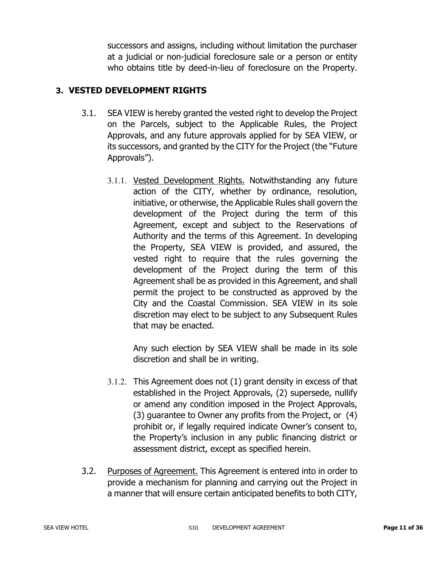successors and assigns, including without limitation the purchaser at a judicial or non-judicial foreclosure sale or a person or entity who obtains title by deed-in-lieu of foreclosure on the Property.

# **3. VESTED DEVELOPMENT RIGHTS**

- 3.1. SEA VIEW is hereby granted the vested right to develop the Project on the Parcels, subject to the Applicable Rules, the Project Approvals, and any future approvals applied for by SEA VIEW, or its successors, and granted by the CITY for the Project (the "Future Approvals").
	- 3.1.1. Vested Development Rights. Notwithstanding any future action of the CITY, whether by ordinance, resolution, initiative, or otherwise, the Applicable Rules shall govern the development of the Project during the term of this Agreement, except and subject to the Reservations of Authority and the terms of this Agreement. In developing the Property, SEA VIEW is provided, and assured, the vested right to require that the rules governing the development of the Project during the term of this Agreement shall be as provided in this Agreement, and shall permit the project to be constructed as approved by the City and the Coastal Commission. SEA VIEW in its sole discretion may elect to be subject to any Subsequent Rules that may be enacted.

Any such election by SEA VIEW shall be made in its sole discretion and shall be in writing.

- 3.1.2. This Agreement does not (1) grant density in excess of that established in the Project Approvals, (2) supersede, nullify or amend any condition imposed in the Project Approvals, (3) guarantee to Owner any profits from the Project, or (4) prohibit or, if legally required indicate Owner's consent to, the Property's inclusion in any public financing district or assessment district, except as specified herein.
- 3.2. Purposes of Agreement. This Agreement is entered into in order to provide a mechanism for planning and carrying out the Project in a manner that will ensure certain anticipated benefits to both CITY,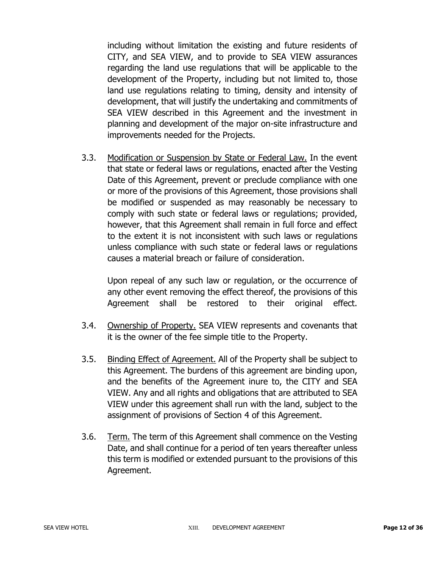including without limitation the existing and future residents of CITY, and SEA VIEW, and to provide to SEA VIEW assurances regarding the land use regulations that will be applicable to the development of the Property, including but not limited to, those land use regulations relating to timing, density and intensity of development, that will justify the undertaking and commitments of SEA VIEW described in this Agreement and the investment in planning and development of the major on-site infrastructure and improvements needed for the Projects.

3.3. Modification or Suspension by State or Federal Law. In the event that state or federal laws or regulations, enacted after the Vesting Date of this Agreement, prevent or preclude compliance with one or more of the provisions of this Agreement, those provisions shall be modified or suspended as may reasonably be necessary to comply with such state or federal laws or regulations; provided, however, that this Agreement shall remain in full force and effect to the extent it is not inconsistent with such laws or regulations unless compliance with such state or federal laws or regulations causes a material breach or failure of consideration.

Upon repeal of any such law or regulation, or the occurrence of any other event removing the effect thereof, the provisions of this Agreement shall be restored to their original effect.

- 3.4. Ownership of Property. SEA VIEW represents and covenants that it is the owner of the fee simple title to the Property.
- 3.5. Binding Effect of Agreement. All of the Property shall be subject to this Agreement. The burdens of this agreement are binding upon, and the benefits of the Agreement inure to, the CITY and SEA VIEW. Any and all rights and obligations that are attributed to SEA VIEW under this agreement shall run with the land, subject to the assignment of provisions of Section 4 of this Agreement.
- 3.6. Term. The term of this Agreement shall commence on the Vesting Date, and shall continue for a period of ten years thereafter unless this term is modified or extended pursuant to the provisions of this Agreement.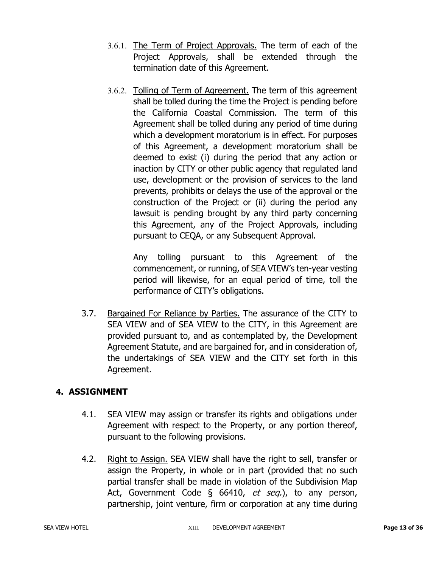- 3.6.1. The Term of Project Approvals. The term of each of the Project Approvals, shall be extended through the termination date of this Agreement.
- 3.6.2. Tolling of Term of Agreement. The term of this agreement shall be tolled during the time the Project is pending before the California Coastal Commission. The term of this Agreement shall be tolled during any period of time during which a development moratorium is in effect. For purposes of this Agreement, a development moratorium shall be deemed to exist (i) during the period that any action or inaction by CITY or other public agency that regulated land use, development or the provision of services to the land prevents, prohibits or delays the use of the approval or the construction of the Project or (ii) during the period any lawsuit is pending brought by any third party concerning this Agreement, any of the Project Approvals, including pursuant to CEQA, or any Subsequent Approval.

Any tolling pursuant to this Agreement of the commencement, or running, of SEA VIEW's ten-year vesting period will likewise, for an equal period of time, toll the performance of CITY's obligations.

3.7. Bargained For Reliance by Parties. The assurance of the CITY to SEA VIEW and of SEA VIEW to the CITY, in this Agreement are provided pursuant to, and as contemplated by, the Development Agreement Statute, and are bargained for, and in consideration of, the undertakings of SEA VIEW and the CITY set forth in this Agreement.

# **4. ASSIGNMENT**

- 4.1. SEA VIEW may assign or transfer its rights and obligations under Agreement with respect to the Property, or any portion thereof, pursuant to the following provisions.
- 4.2. Right to Assign. SEA VIEW shall have the right to sell, transfer or assign the Property, in whole or in part (provided that no such partial transfer shall be made in violation of the Subdivision Map Act, Government Code § 66410, et seq.), to any person, partnership, joint venture, firm or corporation at any time during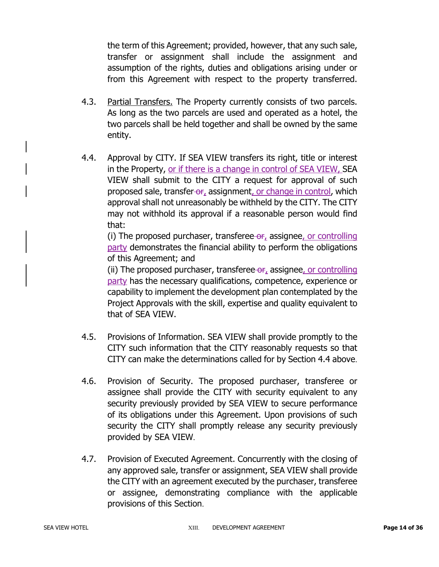the term of this Agreement; provided, however, that any such sale, transfer or assignment shall include the assignment and assumption of the rights, duties and obligations arising under or from this Agreement with respect to the property transferred.

- 4.3. Partial Transfers. The Property currently consists of two parcels. As long as the two parcels are used and operated as a hotel, the two parcels shall be held together and shall be owned by the same entity.
- 4.4. Approval by CITY. If SEA VIEW transfers its right, title or interest in the Property, or if there is a change in control of SEA VIEW, SEA VIEW shall submit to the CITY a request for approval of such proposed sale, transfer-or, assignment, or change in control, which approval shall not unreasonably be withheld by the CITY. The CITY may not withhold its approval if a reasonable person would find that:

(i) The proposed purchaser, transferee- $\theta$ <sub>r</sub> assignee, or controlling party demonstrates the financial ability to perform the obligations of this Agreement; and

(ii) The proposed purchaser, transferee  $\theta$ , assignee, or controlling party has the necessary qualifications, competence, experience or capability to implement the development plan contemplated by the Project Approvals with the skill, expertise and quality equivalent to that of SEA VIEW.

- 4.5. Provisions of Information. SEA VIEW shall provide promptly to the CITY such information that the CITY reasonably requests so that CITY can make the determinations called for by Section 4.4 above.
- 4.6. Provision of Security. The proposed purchaser, transferee or assignee shall provide the CITY with security equivalent to any security previously provided by SEA VIEW to secure performance of its obligations under this Agreement. Upon provisions of such security the CITY shall promptly release any security previously provided by SEA VIEW.
- 4.7. Provision of Executed Agreement. Concurrently with the closing of any approved sale, transfer or assignment, SEA VIEW shall provide the CITY with an agreement executed by the purchaser, transferee or assignee, demonstrating compliance with the applicable provisions of this Section.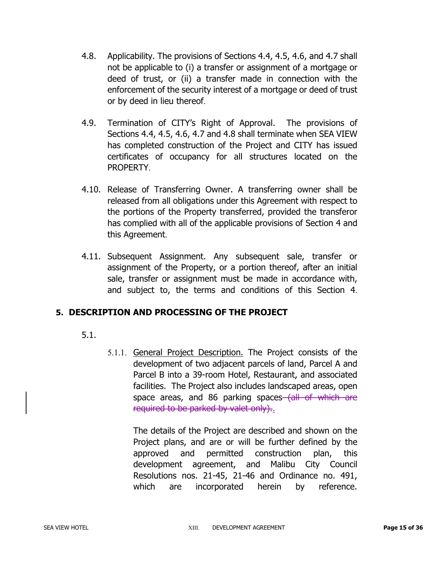- 4.8. Applicability. The provisions of Sections 4.4, 4.5, 4.6, and 4.7 shall not be applicable to (i) a transfer or assignment of a mortgage or deed of trust, or (ii) a transfer made in connection with the enforcement of the security interest of a mortgage or deed of trust or by deed in lieu thereof.
- 4.9. Termination of CITY's Right of Approval. The provisions of Sections 4.4, 4.5, 4.6, 4.7 and 4.8 shall terminate when SEA VIEW has completed construction of the Project and CITY has issued certificates of occupancy for all structures located on the PROPERTY.
- 4.10. Release of Transferring Owner. A transferring owner shall be released from all obligations under this Agreement with respect to the portions of the Property transferred, provided the transferor has complied with all of the applicable provisions of Section 4 and this Agreement.
- 4.11. Subsequent Assignment. Any subsequent sale, transfer or assignment of the Property, or a portion thereof, after an initial sale, transfer or assignment must be made in accordance with, and subject to, the terms and conditions of this Section 4.

# **5. DESCRIPTION AND PROCESSING OF THE PROJECT**

- 5.1.
- 5.1.1. General Project Description. The Project consists of the development of two adjacent parcels of land, Parcel A and Parcel B into a 39-room Hotel, Restaurant, and associated facilities. The Project also includes landscaped areas, open space areas, and 86 parking spaces (all of which are required to be parked by valet only).

The details of the Project are described and shown on the Project plans, and are or will be further defined by the approved and permitted construction plan, this development agreement, and Malibu City Council Resolutions nos. 21-45, 21-46 and Ordinance no. 491, which are incorporated herein by reference.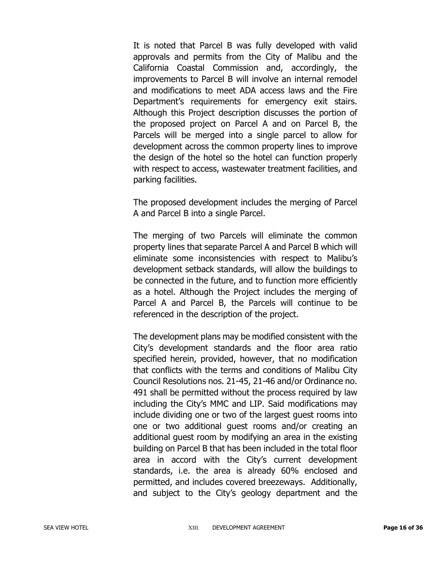It is noted that Parcel B was fully developed with valid approvals and permits from the City of Malibu and the California Coastal Commission and, accordingly, the improvements to Parcel B will involve an internal remodel and modifications to meet ADA access laws and the Fire Department's requirements for emergency exit stairs. Although this Project description discusses the portion of the proposed project on Parcel A and on Parcel B, the Parcels will be merged into a single parcel to allow for development across the common property lines to improve the design of the hotel so the hotel can function properly with respect to access, wastewater treatment facilities, and parking facilities.

The proposed development includes the merging of Parcel A and Parcel B into a single Parcel.

The merging of two Parcels will eliminate the common property lines that separate Parcel A and Parcel B which will eliminate some inconsistencies with respect to Malibu's development setback standards, will allow the buildings to be connected in the future, and to function more efficiently as a hotel. Although the Project includes the merging of Parcel A and Parcel B, the Parcels will continue to be referenced in the description of the project.

The development plans may be modified consistent with the City's development standards and the floor area ratio specified herein, provided, however, that no modification that conflicts with the terms and conditions of Malibu City Council Resolutions nos. 21-45, 21-46 and/or Ordinance no. 491 shall be permitted without the process required by law including the City's MMC and LIP. Said modifications may include dividing one or two of the largest guest rooms into one or two additional guest rooms and/or creating an additional guest room by modifying an area in the existing building on Parcel B that has been included in the total floor area in accord with the City's current development standards, i.e. the area is already 60% enclosed and permitted, and includes covered breezeways. Additionally, and subject to the City's geology department and the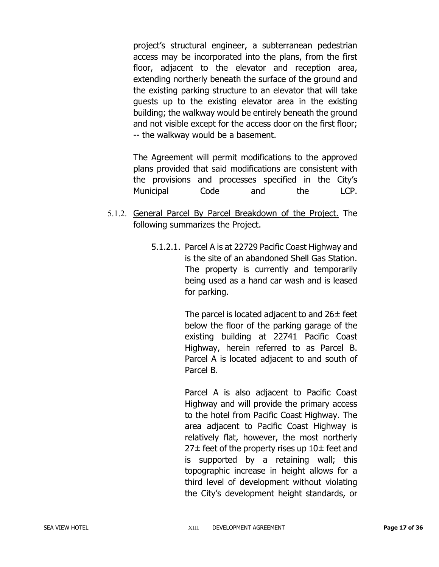project's structural engineer, a subterranean pedestrian access may be incorporated into the plans, from the first floor, adjacent to the elevator and reception area, extending northerly beneath the surface of the ground and the existing parking structure to an elevator that will take guests up to the existing elevator area in the existing building; the walkway would be entirely beneath the ground and not visible except for the access door on the first floor; -- the walkway would be a basement.

The Agreement will permit modifications to the approved plans provided that said modifications are consistent with the provisions and processes specified in the City's Municipal Code and the LCP.

- 5.1.2. General Parcel By Parcel Breakdown of the Project. The following summarizes the Project.
	- 5.1.2.1. Parcel A is at 22729 Pacific Coast Highway and is the site of an abandoned Shell Gas Station. The property is currently and temporarily being used as a hand car wash and is leased for parking.

The parcel is located adjacent to and  $26\pm$  feet below the floor of the parking garage of the existing building at 22741 Pacific Coast Highway, herein referred to as Parcel B. Parcel A is located adjacent to and south of Parcel B.

Parcel A is also adjacent to Pacific Coast Highway and will provide the primary access to the hotel from Pacific Coast Highway. The area adjacent to Pacific Coast Highway is relatively flat, however, the most northerly  $27\pm$  feet of the property rises up  $10\pm$  feet and is supported by a retaining wall; this topographic increase in height allows for a third level of development without violating the City's development height standards, or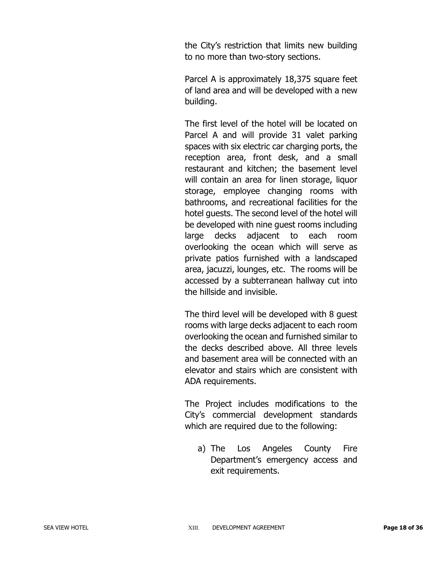the City's restriction that limits new building to no more than two-story sections.

Parcel A is approximately 18,375 square feet of land area and will be developed with a new building.

The first level of the hotel will be located on Parcel A and will provide 31 valet parking spaces with six electric car charging ports, the reception area, front desk, and a small restaurant and kitchen; the basement level will contain an area for linen storage, liquor storage, employee changing rooms with bathrooms, and recreational facilities for the hotel guests. The second level of the hotel will be developed with nine guest rooms including large decks adjacent to each room overlooking the ocean which will serve as private patios furnished with a landscaped area, jacuzzi, lounges, etc. The rooms will be accessed by a subterranean hallway cut into the hillside and invisible.

The third level will be developed with 8 guest rooms with large decks adjacent to each room overlooking the ocean and furnished similar to the decks described above. All three levels and basement area will be connected with an elevator and stairs which are consistent with ADA requirements.

The Project includes modifications to the City's commercial development standards which are required due to the following:

a) The Los Angeles County Fire Department's emergency access and exit requirements.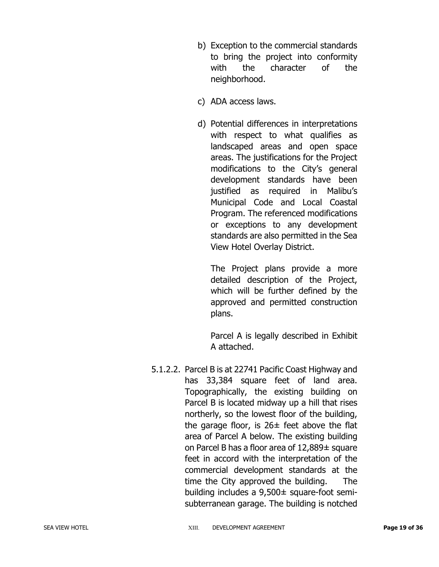- b) Exception to the commercial standards to bring the project into conformity with the character of the neighborhood.
- c) ADA access laws.
- d) Potential differences in interpretations with respect to what qualifies as landscaped areas and open space areas. The justifications for the Project modifications to the City's general development standards have been justified as required in Malibu's Municipal Code and Local Coastal Program. The referenced modifications or exceptions to any development standards are also permitted in the Sea View Hotel Overlay District.

The Project plans provide a more detailed description of the Project, which will be further defined by the approved and permitted construction plans.

Parcel A is legally described in Exhibit A attached.

5.1.2.2. Parcel B is at 22741 Pacific Coast Highway and has 33,384 square feet of land area. Topographically, the existing building on Parcel B is located midway up a hill that rises northerly, so the lowest floor of the building, the garage floor, is  $26\pm$  feet above the flat area of Parcel A below. The existing building on Parcel B has a floor area of 12,889± square feet in accord with the interpretation of the commercial development standards at the time the City approved the building. The building includes a 9,500± square-foot semisubterranean garage. The building is notched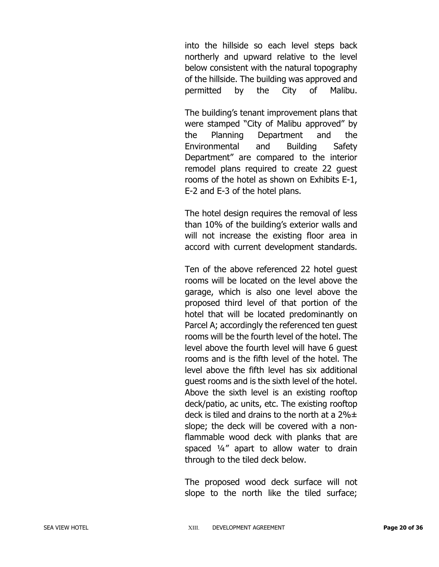into the hillside so each level steps back northerly and upward relative to the level below consistent with the natural topography of the hillside. The building was approved and permitted by the City of Malibu.

The building's tenant improvement plans that were stamped "City of Malibu approved" by the Planning Department and the Environmental and Building Safety Department" are compared to the interior remodel plans required to create 22 guest rooms of the hotel as shown on Exhibits E-1, E-2 and E-3 of the hotel plans.

The hotel design requires the removal of less than 10% of the building's exterior walls and will not increase the existing floor area in accord with current development standards.

Ten of the above referenced 22 hotel guest rooms will be located on the level above the garage, which is also one level above the proposed third level of that portion of the hotel that will be located predominantly on Parcel A; accordingly the referenced ten guest rooms will be the fourth level of the hotel. The level above the fourth level will have 6 guest rooms and is the fifth level of the hotel. The level above the fifth level has six additional guest rooms and is the sixth level of the hotel. Above the sixth level is an existing rooftop deck/patio, ac units, etc. The existing rooftop deck is tiled and drains to the north at a  $2\% \pm$ slope; the deck will be covered with a nonflammable wood deck with planks that are spaced ¼" apart to allow water to drain through to the tiled deck below.

The proposed wood deck surface will not slope to the north like the tiled surface;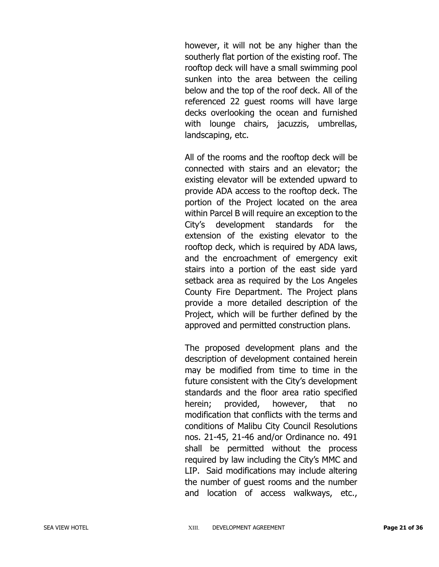however, it will not be any higher than the southerly flat portion of the existing roof. The rooftop deck will have a small swimming pool sunken into the area between the ceiling below and the top of the roof deck. All of the referenced 22 guest rooms will have large decks overlooking the ocean and furnished with lounge chairs, jacuzzis, umbrellas, landscaping, etc.

All of the rooms and the rooftop deck will be connected with stairs and an elevator; the existing elevator will be extended upward to provide ADA access to the rooftop deck. The portion of the Project located on the area within Parcel B will require an exception to the City's development standards for the extension of the existing elevator to the rooftop deck, which is required by ADA laws, and the encroachment of emergency exit stairs into a portion of the east side yard setback area as required by the Los Angeles County Fire Department. The Project plans provide a more detailed description of the Project, which will be further defined by the approved and permitted construction plans.

The proposed development plans and the description of development contained herein may be modified from time to time in the future consistent with the City's development standards and the floor area ratio specified herein; provided, however, that no modification that conflicts with the terms and conditions of Malibu City Council Resolutions nos. 21-45, 21-46 and/or Ordinance no. 491 shall be permitted without the process required by law including the City's MMC and LIP. Said modifications may include altering the number of guest rooms and the number and location of access walkways, etc.,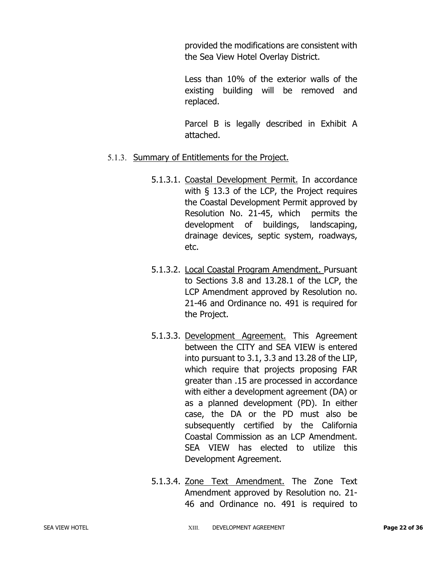provided the modifications are consistent with the Sea View Hotel Overlay District.

Less than 10% of the exterior walls of the existing building will be removed and replaced.

Parcel B is legally described in Exhibit A attached.

### 5.1.3. Summary of Entitlements for the Project.

- 5.1.3.1. Coastal Development Permit. In accordance with § 13.3 of the LCP, the Project requires the Coastal Development Permit approved by Resolution No. 21-45, which permits the development of buildings, landscaping, drainage devices, septic system, roadways, etc.
- 5.1.3.2. Local Coastal Program Amendment. Pursuant to Sections 3.8 and 13.28.1 of the LCP, the LCP Amendment approved by Resolution no. 21-46 and Ordinance no. 491 is required for the Project.
- 5.1.3.3. Development Agreement. This Agreement between the CITY and SEA VIEW is entered into pursuant to 3.1, 3.3 and 13.28 of the LIP, which require that projects proposing FAR greater than .15 are processed in accordance with either a development agreement (DA) or as a planned development (PD). In either case, the DA or the PD must also be subsequently certified by the California Coastal Commission as an LCP Amendment. SEA VIEW has elected to utilize this Development Agreement.
- 5.1.3.4. Zone Text Amendment. The Zone Text Amendment approved by Resolution no. 21- 46 and Ordinance no. 491 is required to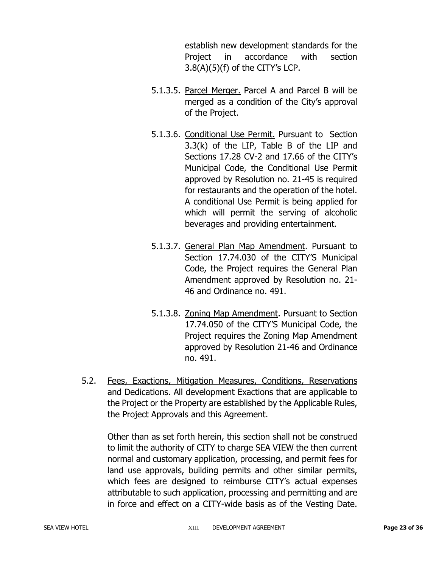establish new development standards for the Project in accordance with section 3.8(A)(5)(f) of the CITY's LCP.

- 5.1.3.5. Parcel Merger. Parcel A and Parcel B will be merged as a condition of the City's approval of the Project.
- 5.1.3.6. Conditional Use Permit. Pursuant to Section 3.3(k) of the LIP, Table B of the LIP and Sections 17.28 CV-2 and 17.66 of the CITY's Municipal Code, the Conditional Use Permit approved by Resolution no. 21-45 is required for restaurants and the operation of the hotel. A conditional Use Permit is being applied for which will permit the serving of alcoholic beverages and providing entertainment.
- 5.1.3.7. General Plan Map Amendment. Pursuant to Section 17.74.030 of the CITY'S Municipal Code, the Project requires the General Plan Amendment approved by Resolution no. 21- 46 and Ordinance no. 491.
- 5.1.3.8. Zoning Map Amendment. Pursuant to Section 17.74.050 of the CITY'S Municipal Code, the Project requires the Zoning Map Amendment approved by Resolution 21-46 and Ordinance no. 491.
- 5.2. Fees, Exactions, Mitigation Measures, Conditions, Reservations and Dedications. All development Exactions that are applicable to the Project or the Property are established by the Applicable Rules, the Project Approvals and this Agreement.

Other than as set forth herein, this section shall not be construed to limit the authority of CITY to charge SEA VIEW the then current normal and customary application, processing, and permit fees for land use approvals, building permits and other similar permits, which fees are designed to reimburse CITY's actual expenses attributable to such application, processing and permitting and are in force and effect on a CITY-wide basis as of the Vesting Date.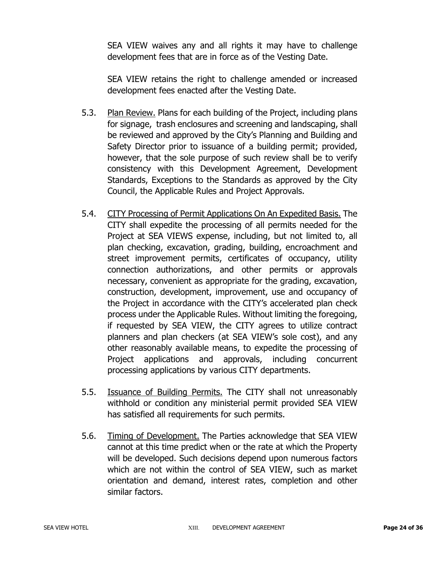SEA VIEW waives any and all rights it may have to challenge development fees that are in force as of the Vesting Date.

SEA VIEW retains the right to challenge amended or increased development fees enacted after the Vesting Date.

- 5.3. Plan Review. Plans for each building of the Project, including plans for signage, trash enclosures and screening and landscaping, shall be reviewed and approved by the City's Planning and Building and Safety Director prior to issuance of a building permit; provided, however, that the sole purpose of such review shall be to verify consistency with this Development Agreement, Development Standards, Exceptions to the Standards as approved by the City Council, the Applicable Rules and Project Approvals.
- 5.4. CITY Processing of Permit Applications On An Expedited Basis. The CITY shall expedite the processing of all permits needed for the Project at SEA VIEWS expense, including, but not limited to, all plan checking, excavation, grading, building, encroachment and street improvement permits, certificates of occupancy, utility connection authorizations, and other permits or approvals necessary, convenient as appropriate for the grading, excavation, construction, development, improvement, use and occupancy of the Project in accordance with the CITY's accelerated plan check process under the Applicable Rules. Without limiting the foregoing, if requested by SEA VIEW, the CITY agrees to utilize contract planners and plan checkers (at SEA VIEW's sole cost), and any other reasonably available means, to expedite the processing of Project applications and approvals, including concurrent processing applications by various CITY departments.
- 5.5. Issuance of Building Permits. The CITY shall not unreasonably withhold or condition any ministerial permit provided SEA VIEW has satisfied all requirements for such permits.
- 5.6. Timing of Development. The Parties acknowledge that SEA VIEW cannot at this time predict when or the rate at which the Property will be developed. Such decisions depend upon numerous factors which are not within the control of SEA VIEW, such as market orientation and demand, interest rates, completion and other similar factors.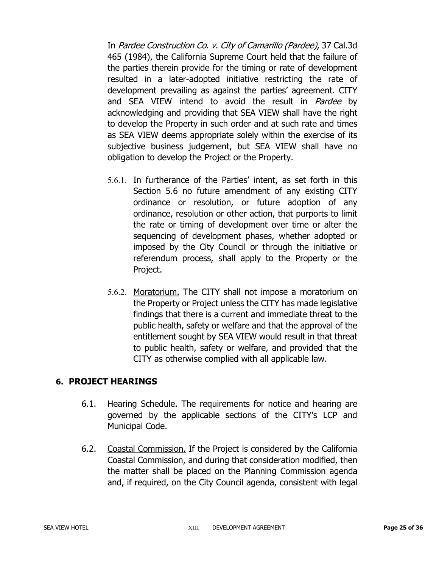In Pardee Construction Co. v. City of Camarillo (Pardee), 37 Cal.3d 465 (1984), the California Supreme Court held that the failure of the parties therein provide for the timing or rate of development resulted in a later-adopted initiative restricting the rate of development prevailing as against the parties' agreement. CITY and SEA VIEW intend to avoid the result in *Pardee* by acknowledging and providing that SEA VIEW shall have the right to develop the Property in such order and at such rate and times as SEA VIEW deems appropriate solely within the exercise of its subjective business judgement, but SEA VIEW shall have no obligation to develop the Project or the Property.

- 5.6.1. In furtherance of the Parties' intent, as set forth in this Section 5.6 no future amendment of any existing CITY ordinance or resolution, or future adoption of any ordinance, resolution or other action, that purports to limit the rate or timing of development over time or alter the sequencing of development phases, whether adopted or imposed by the City Council or through the initiative or referendum process, shall apply to the Property or the Project.
- 5.6.2. Moratorium. The CITY shall not impose a moratorium on the Property or Project unless the CITY has made legislative findings that there is a current and immediate threat to the public health, safety or welfare and that the approval of the entitlement sought by SEA VIEW would result in that threat to public health, safety or welfare, and provided that the CITY as otherwise complied with all applicable law.

# **6. PROJECT HEARINGS**

- 6.1. Hearing Schedule. The requirements for notice and hearing are governed by the applicable sections of the CITY's LCP and Municipal Code.
- 6.2. Coastal Commission. If the Project is considered by the California Coastal Commission, and during that consideration modified, then the matter shall be placed on the Planning Commission agenda and, if required, on the City Council agenda, consistent with legal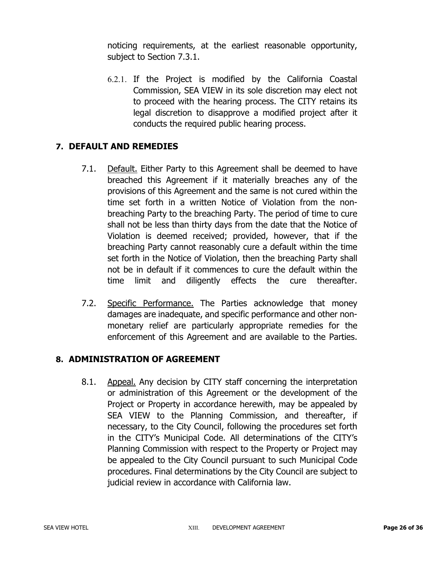noticing requirements, at the earliest reasonable opportunity, subject to Section 7.3.1.

6.2.1. If the Project is modified by the California Coastal Commission, SEA VIEW in its sole discretion may elect not to proceed with the hearing process. The CITY retains its legal discretion to disapprove a modified project after it conducts the required public hearing process.

# **7. DEFAULT AND REMEDIES**

- 7.1. Default. Either Party to this Agreement shall be deemed to have breached this Agreement if it materially breaches any of the provisions of this Agreement and the same is not cured within the time set forth in a written Notice of Violation from the nonbreaching Party to the breaching Party. The period of time to cure shall not be less than thirty days from the date that the Notice of Violation is deemed received; provided, however, that if the breaching Party cannot reasonably cure a default within the time set forth in the Notice of Violation, then the breaching Party shall not be in default if it commences to cure the default within the time limit and diligently effects the cure thereafter.
- 7.2. Specific Performance. The Parties acknowledge that money damages are inadequate, and specific performance and other nonmonetary relief are particularly appropriate remedies for the enforcement of this Agreement and are available to the Parties.

# **8. ADMINISTRATION OF AGREEMENT**

8.1. Appeal. Any decision by CITY staff concerning the interpretation or administration of this Agreement or the development of the Project or Property in accordance herewith, may be appealed by SEA VIEW to the Planning Commission, and thereafter, if necessary, to the City Council, following the procedures set forth in the CITY's Municipal Code. All determinations of the CITY's Planning Commission with respect to the Property or Project may be appealed to the City Council pursuant to such Municipal Code procedures. Final determinations by the City Council are subject to judicial review in accordance with California law.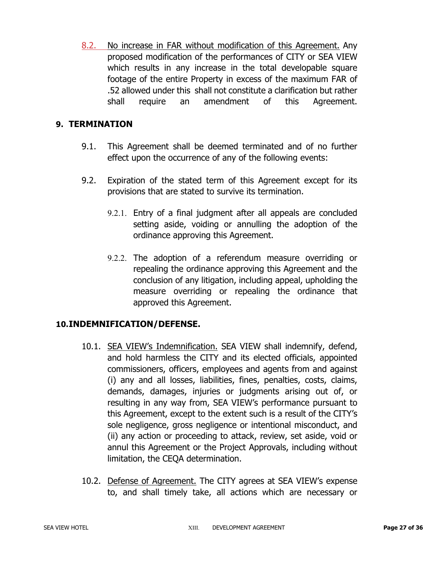8.2. No increase in FAR without modification of this Agreement. Any proposed modification of the performances of CITY or SEA VIEW which results in any increase in the total developable square footage of the entire Property in excess of the maximum FAR of .52 allowed under this shall not constitute a clarification but rather shall require an amendment of this Agreement.

## **9. TERMINATION**

- 9.1. This Agreement shall be deemed terminated and of no further effect upon the occurrence of any of the following events:
- 9.2. Expiration of the stated term of this Agreement except for its provisions that are stated to survive its termination.
	- 9.2.1. Entry of a final judgment after all appeals are concluded setting aside, voiding or annulling the adoption of the ordinance approving this Agreement.
	- 9.2.2. The adoption of a referendum measure overriding or repealing the ordinance approving this Agreement and the conclusion of any litigation, including appeal, upholding the measure overriding or repealing the ordinance that approved this Agreement.

# **10.INDEMNIFICATION/DEFENSE.**

- 10.1. SEA VIEW's Indemnification. SEA VIEW shall indemnify, defend, and hold harmless the CITY and its elected officials, appointed commissioners, officers, employees and agents from and against (i) any and all losses, liabilities, fines, penalties, costs, claims, demands, damages, injuries or judgments arising out of, or resulting in any way from, SEA VIEW's performance pursuant to this Agreement, except to the extent such is a result of the CITY's sole negligence, gross negligence or intentional misconduct, and (ii) any action or proceeding to attack, review, set aside, void or annul this Agreement or the Project Approvals, including without limitation, the CEQA determination.
- 10.2. Defense of Agreement. The CITY agrees at SEA VIEW's expense to, and shall timely take, all actions which are necessary or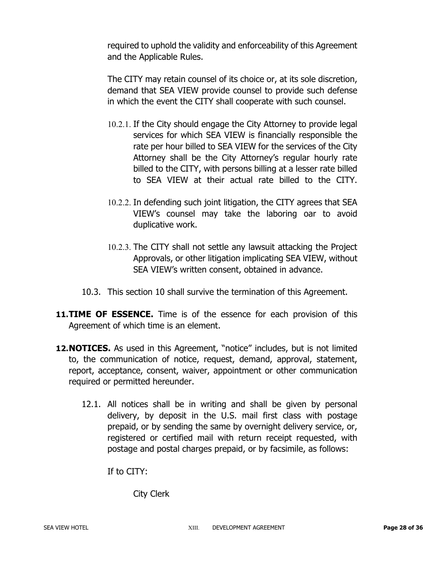required to uphold the validity and enforceability of this Agreement and the Applicable Rules.

The CITY may retain counsel of its choice or, at its sole discretion, demand that SEA VIEW provide counsel to provide such defense in which the event the CITY shall cooperate with such counsel.

- 10.2.1. If the City should engage the City Attorney to provide legal services for which SEA VIEW is financially responsible the rate per hour billed to SEA VIEW for the services of the City Attorney shall be the City Attorney's regular hourly rate billed to the CITY, with persons billing at a lesser rate billed to SEA VIEW at their actual rate billed to the CITY.
- 10.2.2. In defending such joint litigation, the CITY agrees that SEA VIEW's counsel may take the laboring oar to avoid duplicative work.
- 10.2.3. The CITY shall not settle any lawsuit attacking the Project Approvals, or other litigation implicating SEA VIEW, without SEA VIEW's written consent, obtained in advance.
- 10.3. This section 10 shall survive the termination of this Agreement.
- **11.TIME OF ESSENCE.** Time is of the essence for each provision of this Agreement of which time is an element.
- 12. NOTICES. As used in this Agreement, "notice" includes, but is not limited to, the communication of notice, request, demand, approval, statement, report, acceptance, consent, waiver, appointment or other communication required or permitted hereunder.
	- 12.1. All notices shall be in writing and shall be given by personal delivery, by deposit in the U.S. mail first class with postage prepaid, or by sending the same by overnight delivery service, or, registered or certified mail with return receipt requested, with postage and postal charges prepaid, or by facsimile, as follows:

If to CITY:

City Clerk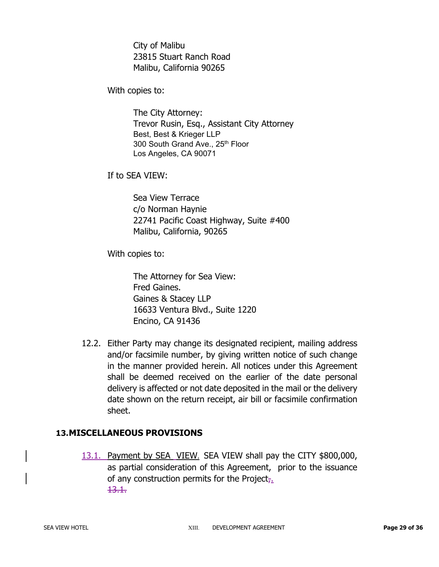City of Malibu 23815 Stuart Ranch Road Malibu, California 90265

With copies to:

The City Attorney: Trevor Rusin, Esq., Assistant City Attorney Best, Best & Krieger LLP 300 South Grand Ave., 25<sup>th</sup> Floor Los Angeles, CA 90071

If to SEA VIEW:

Sea View Terrace c/o Norman Haynie 22741 Pacific Coast Highway, Suite #400 Malibu, California, 90265

With copies to:

The Attorney for Sea View: Fred Gaines. Gaines & Stacey LLP 16633 Ventura Blvd., Suite 1220 Encino, CA 91436

12.2. Either Party may change its designated recipient, mailing address and/or facsimile number, by giving written notice of such change in the manner provided herein. All notices under this Agreement shall be deemed received on the earlier of the date personal delivery is affected or not date deposited in the mail or the delivery date shown on the return receipt, air bill or facsimile confirmation sheet.

# **13.MISCELLANEOUS PROVISIONS**

13.1. Payment by SEA VIEW. SEA VIEW shall pay the CITY \$800,000, as partial consideration of this Agreement, prior to the issuance of any construction permits for the Project<sub> $\bar{t}$ </sub>. 13.1.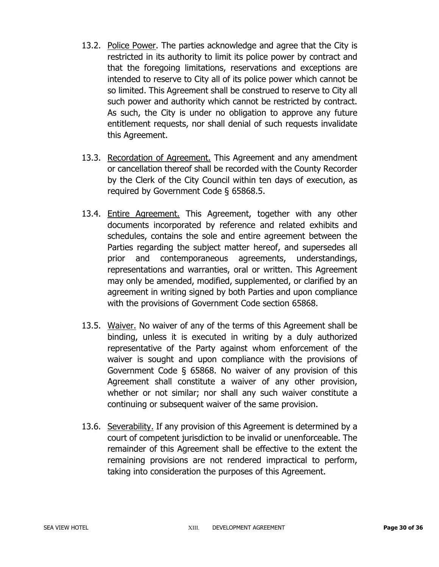- 13.2. Police Power. The parties acknowledge and agree that the City is restricted in its authority to limit its police power by contract and that the foregoing limitations, reservations and exceptions are intended to reserve to City all of its police power which cannot be so limited. This Agreement shall be construed to reserve to City all such power and authority which cannot be restricted by contract. As such, the City is under no obligation to approve any future entitlement requests, nor shall denial of such requests invalidate this Agreement.
- 13.3. Recordation of Agreement. This Agreement and any amendment or cancellation thereof shall be recorded with the County Recorder by the Clerk of the City Council within ten days of execution, as required by Government Code § 65868.5.
- 13.4. Entire Agreement. This Agreement, together with any other documents incorporated by reference and related exhibits and schedules, contains the sole and entire agreement between the Parties regarding the subject matter hereof, and supersedes all prior and contemporaneous agreements, understandings, representations and warranties, oral or written. This Agreement may only be amended, modified, supplemented, or clarified by an agreement in writing signed by both Parties and upon compliance with the provisions of Government Code section 65868.
- 13.5. Waiver. No waiver of any of the terms of this Agreement shall be binding, unless it is executed in writing by a duly authorized representative of the Party against whom enforcement of the waiver is sought and upon compliance with the provisions of Government Code § 65868. No waiver of any provision of this Agreement shall constitute a waiver of any other provision, whether or not similar; nor shall any such waiver constitute a continuing or subsequent waiver of the same provision.
- 13.6. Severability. If any provision of this Agreement is determined by a court of competent jurisdiction to be invalid or unenforceable. The remainder of this Agreement shall be effective to the extent the remaining provisions are not rendered impractical to perform, taking into consideration the purposes of this Agreement.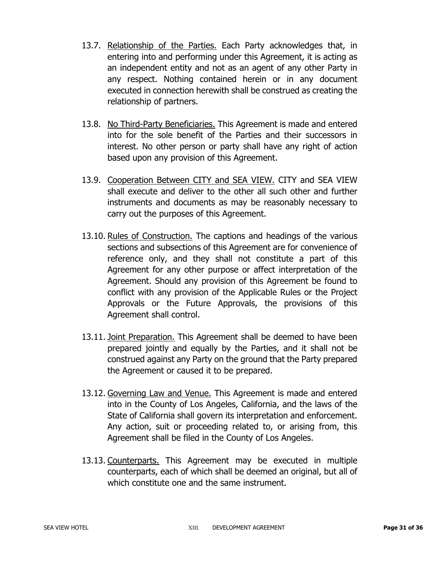- 13.7. Relationship of the Parties. Each Party acknowledges that, in entering into and performing under this Agreement, it is acting as an independent entity and not as an agent of any other Party in any respect. Nothing contained herein or in any document executed in connection herewith shall be construed as creating the relationship of partners.
- 13.8. No Third-Party Beneficiaries. This Agreement is made and entered into for the sole benefit of the Parties and their successors in interest. No other person or party shall have any right of action based upon any provision of this Agreement.
- 13.9. Cooperation Between CITY and SEA VIEW. CITY and SEA VIEW shall execute and deliver to the other all such other and further instruments and documents as may be reasonably necessary to carry out the purposes of this Agreement.
- 13.10. Rules of Construction. The captions and headings of the various sections and subsections of this Agreement are for convenience of reference only, and they shall not constitute a part of this Agreement for any other purpose or affect interpretation of the Agreement. Should any provision of this Agreement be found to conflict with any provision of the Applicable Rules or the Project Approvals or the Future Approvals, the provisions of this Agreement shall control.
- 13.11. Joint Preparation. This Agreement shall be deemed to have been prepared jointly and equally by the Parties, and it shall not be construed against any Party on the ground that the Party prepared the Agreement or caused it to be prepared.
- 13.12. Governing Law and Venue. This Agreement is made and entered into in the County of Los Angeles, California, and the laws of the State of California shall govern its interpretation and enforcement. Any action, suit or proceeding related to, or arising from, this Agreement shall be filed in the County of Los Angeles.
- 13.13. Counterparts. This Agreement may be executed in multiple counterparts, each of which shall be deemed an original, but all of which constitute one and the same instrument.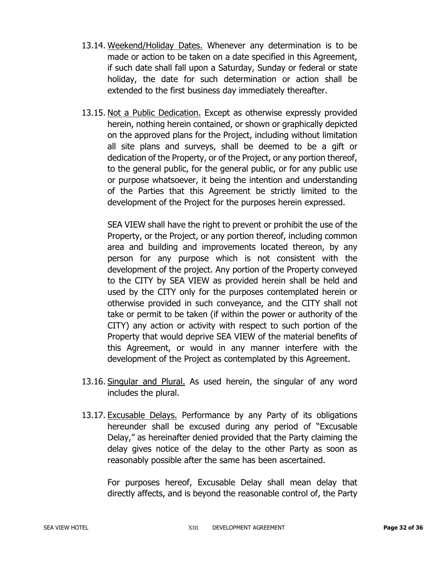- 13.14. Weekend/Holiday Dates. Whenever any determination is to be made or action to be taken on a date specified in this Agreement, if such date shall fall upon a Saturday, Sunday or federal or state holiday, the date for such determination or action shall be extended to the first business day immediately thereafter.
- 13.15. Not a Public Dedication. Except as otherwise expressly provided herein, nothing herein contained, or shown or graphically depicted on the approved plans for the Project, including without limitation all site plans and surveys, shall be deemed to be a gift or dedication of the Property, or of the Project, or any portion thereof, to the general public, for the general public, or for any public use or purpose whatsoever, it being the intention and understanding of the Parties that this Agreement be strictly limited to the development of the Project for the purposes herein expressed.

SEA VIEW shall have the right to prevent or prohibit the use of the Property, or the Project, or any portion thereof, including common area and building and improvements located thereon, by any person for any purpose which is not consistent with the development of the project. Any portion of the Property conveyed to the CITY by SEA VIEW as provided herein shall be held and used by the CITY only for the purposes contemplated herein or otherwise provided in such conveyance, and the CITY shall not take or permit to be taken (if within the power or authority of the CITY) any action or activity with respect to such portion of the Property that would deprive SEA VIEW of the material benefits of this Agreement, or would in any manner interfere with the development of the Project as contemplated by this Agreement.

- 13.16. Singular and Plural. As used herein, the singular of any word includes the plural.
- 13.17. Excusable Delays. Performance by any Party of its obligations hereunder shall be excused during any period of "Excusable Delay," as hereinafter denied provided that the Party claiming the delay gives notice of the delay to the other Party as soon as reasonably possible after the same has been ascertained.

For purposes hereof, Excusable Delay shall mean delay that directly affects, and is beyond the reasonable control of, the Party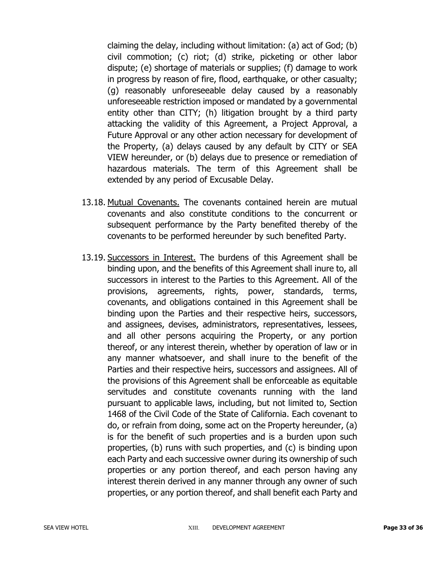claiming the delay, including without limitation: (a) act of God; (b) civil commotion; (c) riot; (d) strike, picketing or other labor dispute; (e) shortage of materials or supplies; (f) damage to work in progress by reason of fire, flood, earthquake, or other casualty; (g) reasonably unforeseeable delay caused by a reasonably unforeseeable restriction imposed or mandated by a governmental entity other than CITY; (h) litigation brought by a third party attacking the validity of this Agreement, a Project Approval, a Future Approval or any other action necessary for development of the Property, (a) delays caused by any default by CITY or SEA VIEW hereunder, or (b) delays due to presence or remediation of hazardous materials. The term of this Agreement shall be extended by any period of Excusable Delay.

- 13.18. Mutual Covenants. The covenants contained herein are mutual covenants and also constitute conditions to the concurrent or subsequent performance by the Party benefited thereby of the covenants to be performed hereunder by such benefited Party.
- 13.19. Successors in Interest. The burdens of this Agreement shall be binding upon, and the benefits of this Agreement shall inure to, all successors in interest to the Parties to this Agreement. All of the provisions, agreements, rights, power, standards, terms, covenants, and obligations contained in this Agreement shall be binding upon the Parties and their respective heirs, successors, and assignees, devises, administrators, representatives, lessees, and all other persons acquiring the Property, or any portion thereof, or any interest therein, whether by operation of law or in any manner whatsoever, and shall inure to the benefit of the Parties and their respective heirs, successors and assignees. All of the provisions of this Agreement shall be enforceable as equitable servitudes and constitute covenants running with the land pursuant to applicable laws, including, but not limited to, Section 1468 of the Civil Code of the State of California. Each covenant to do, or refrain from doing, some act on the Property hereunder, (a) is for the benefit of such properties and is a burden upon such properties, (b) runs with such properties, and (c) is binding upon each Party and each successive owner during its ownership of such properties or any portion thereof, and each person having any interest therein derived in any manner through any owner of such properties, or any portion thereof, and shall benefit each Party and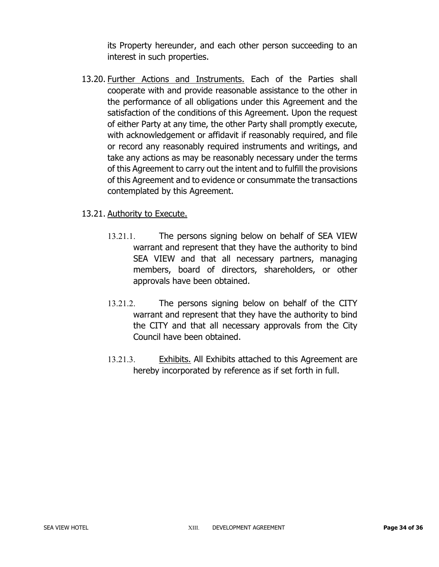its Property hereunder, and each other person succeeding to an interest in such properties.

13.20. Further Actions and Instruments. Each of the Parties shall cooperate with and provide reasonable assistance to the other in the performance of all obligations under this Agreement and the satisfaction of the conditions of this Agreement. Upon the request of either Party at any time, the other Party shall promptly execute, with acknowledgement or affidavit if reasonably required, and file or record any reasonably required instruments and writings, and take any actions as may be reasonably necessary under the terms of this Agreement to carry out the intent and to fulfill the provisions of this Agreement and to evidence or consummate the transactions contemplated by this Agreement.

### 13.21. Authority to Execute.

- 13.21.1. The persons signing below on behalf of SEA VIEW warrant and represent that they have the authority to bind SEA VIEW and that all necessary partners, managing members, board of directors, shareholders, or other approvals have been obtained.
- 13.21.2. The persons signing below on behalf of the CITY warrant and represent that they have the authority to bind the CITY and that all necessary approvals from the City Council have been obtained.
- 13.21.3. Exhibits. All Exhibits attached to this Agreement are hereby incorporated by reference as if set forth in full.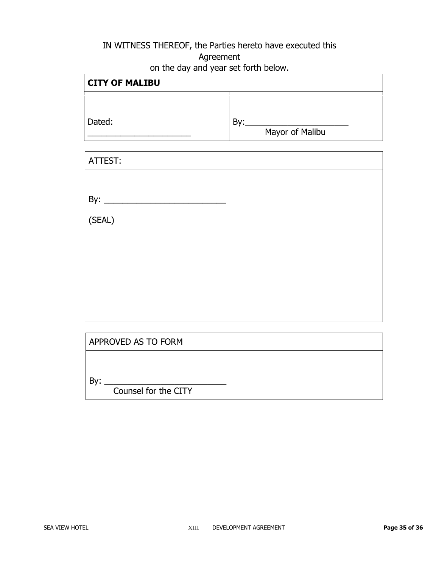# IN WITNESS THEREOF, the Parties hereto have executed this Agreement on the day and year set forth below.

| <b>CITY OF MALIBU</b> |                 |  |
|-----------------------|-----------------|--|
|                       |                 |  |
| Dated:                | Bv:             |  |
|                       | Mayor of Malibu |  |

| ATTEST:             |  |
|---------------------|--|
|                     |  |
|                     |  |
| (SEAL)              |  |
|                     |  |
|                     |  |
|                     |  |
|                     |  |
|                     |  |
|                     |  |
| APPROVED AS TO FORM |  |
|                     |  |
| By:                 |  |

Counsel for the CITY